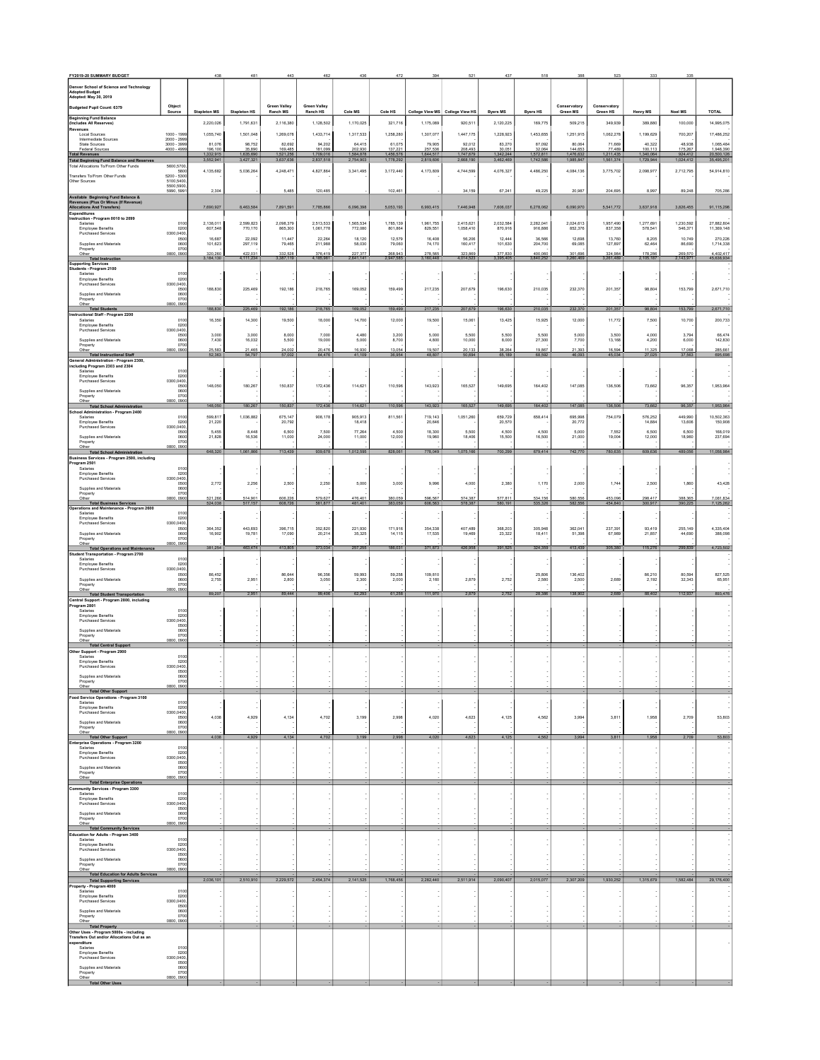| FY2019-20 SUMMARY BUDGET                                                                                               |                                              |                                  |                                  |                        |                        |                        |                        |                        |                                            |                              |                            |                          |                        |                        |                      |                            |
|------------------------------------------------------------------------------------------------------------------------|----------------------------------------------|----------------------------------|----------------------------------|------------------------|------------------------|------------------------|------------------------|------------------------|--------------------------------------------|------------------------------|----------------------------|--------------------------|------------------------|------------------------|----------------------|----------------------------|
| Denver School of Science and Technology<br><b>Adopted Budget</b>                                                       |                                              |                                  |                                  |                        |                        |                        |                        |                        |                                            |                              |                            |                          |                        |                        |                      |                            |
| Adopted: May 30, 2019<br>Budgeted Pupil Count: 6379                                                                    | Object                                       |                                  |                                  | <b>Green Valley</b>    | <b>Green Valley</b>    |                        |                        |                        |                                            |                              |                            | Conservatory             | Conservatory           |                        |                      |                            |
| <b>Beginning Fund Balance</b><br>Includes All Reserves!                                                                | Source                                       | <b>Stapleton MS</b><br>2,220,026 | <b>Stapleton HS</b><br>1,791,631 | Ranch MS<br>2,116,380  | Ranch HS<br>1,128,502  | Cole MS<br>1,170,025   | Cole HS<br>321,716     | 1,175,089              | College View MS College View HS<br>920,511 | <b>Byers MS</b><br>2,120,225 | <b>Byers HS</b><br>169,775 | Green MS<br>509,215      | Green HS<br>349,939    | Henry MS<br>389,880    | Noel MS<br>100,000   | <b>TOTAL</b><br>14,995,075 |
| evenues<br>Local Sources                                                                                               | 1000 - 1999                                  | 1.055.740                        | 1.501.048                        | 1.269.078              | 1.433.714              | 1.317.533              | 1.258.280              | 1.307.077              | 1.447.175                                  | 1,228.923                    | 1,453,655                  | 1.251.915                | 1.062.278              | 1.199.629              | 700.207              | 17,486,252                 |
| Intermediate Sources<br><b>State Sources</b><br>Federal Sources                                                        | $2000 - 2999$<br>3000 - 3999<br>$4000 - 499$ | 81.076<br>196,100                | 98.752<br>35.890                 | 82.692<br>169.485      | 94.202<br>181,099      | 64.415                 | 61.075                 | 79,905                 | 92.012<br>208,493<br>1,747,679             | 83.270<br>80.05              | 87.092<br>32,064           | 80.064<br>144.65         | 71,669<br>7 489        | 40.322<br>100.11       | 48.938<br>175,267    | 1.065.484<br>1,948,390     |
| Total Revenues<br>Total Revenues<br>Total Beginning Fund Balance and Reserves<br>Total Allocations To/From Other Funds | 5600,5700                                    | 3,552,941                        | 1,635,690<br>3,427,321           | 1,521,256<br>3,637,636 | 1,709,016<br>2,837,518 | 1,584,878<br>2,754,903 | 1,456,576<br>1,778,292 | 1,644,517<br>2,819,606 | 2,668,190                                  | 1,342,244<br>3,462,469       | 1,742,586                  | 1,476,632<br>1,985,847   | 1,211,435<br>1,561,374 | 1,340,064<br>1,729,944 | 924,412<br>1,024,412 | 35,495,201                 |
| Transfers To/From Other Funds                                                                                          | 5800<br>5200 - 5300                          | 4,135,682                        | 5,036,264                        | 4,248,47               | 4,827,864              | 3,341,495              | 3,172,440              | 4,173,809              | 4,744,599                                  | 4,076,327                    | 4,486,250                  | 4,084,136                | 3,775,702              | 2,098,977              | 2,712,795            | 54,914,810                 |
| Other Sources                                                                                                          | 5100,5400<br>5500,5900<br>5990.5991          | 2,304                            |                                  | 5.485                  | 120.485                |                        | 102,461                |                        | 34,159                                     | 67,241                       | 49,225                     | 20,987                   | 204,695                | 8,997                  | 89,248               | 705,286                    |
| Available Beginning Fund Balance &<br>Revenues (Plus Or Minus (If Revenue)<br>Allocations And Transfers)               |                                              | 7,690,927                        | 8,463,584                        | 7,891,591              | 7,785,866              | 6,096,398              | 5,053,193              | 6,993,415              | 7,446,948                                  | 7,606,037                    | 6,278,062                  | 6,090,970                | 5,541,772              | 3,837,918              | 3,826,455            | 91,115,298                 |
| coenditures<br>struction - Program 0010 to 2099                                                                        |                                              |                                  |                                  |                        |                        |                        |                        |                        |                                            |                              |                            |                          |                        |                        |                      |                            |
| Salaries<br><b>Employee Benefits</b><br><b>Purchased Services</b>                                                      | 0100<br>0200<br>0300,0400                    | 2.138.011<br>607.548             | 2.599.823<br>770.170             | 2.098.379<br>865,300   | 2.513.533<br>1.061.778 | 1.565.534<br>772.080   | 1.785.139<br>801.864   | 1.961.755<br>829.551   | 2.415.621<br>1.058.410                     | 2.032.584<br>870.916         | 2.282.041<br>916,886       | 2.024.613<br>852.376     | 1.957.490<br>837.358   | 1.277.691<br>578.541   | 1.230.592<br>546.371 | 27.882.804<br>11.369.148   |
| Supplies and Materials                                                                                                 | 0500<br>0600                                 | 16,687<br>101.623                | 22.092<br>297.119                | 11,447<br>79.465       | 22.264<br>211.98       | 18.120<br>58.030       | 12.579<br>79.060       | 16,408<br>74.170       | 56,206<br>160.417                          | 12,444<br>101.630            | 36,566<br>204.70           | 12,698<br>69.085         | 13,760<br>127.897      | 8.205<br>62.464        | 10.749<br>86.690     | 270.226<br>1.714.338       |
| Property<br>Other<br>Total Instruction                                                                                 | 0700<br>0800, 090                            | 320,260<br>3,184,130             | 422,031<br>4,111,234             | 332.528<br>3,387,119   | 376,419<br>4,185,981   | 227.377<br>2,641,141   | 268.943<br>2,947,58    | 278,565<br>3.160.448   | 323.869<br>4,014,523                       | 377 830                      | 400,06<br>3.840.25         | 301.69<br>3.260.469      | 324.984<br>3,261,489   | 178.28<br>2.105.187    | 269.570<br>2,143,971 | 4,402,417<br>45,638,934    |
| pporting Services<br>dents - Program 2100<br>Salaries                                                                  | 0100                                         |                                  |                                  |                        |                        |                        |                        |                        |                                            |                              |                            |                          |                        |                        |                      |                            |
| <b>Employee Benefits</b><br>Purchased Services                                                                         | 0200<br>0300,0400<br>0500                    | 188,830                          | 225.469                          | 192.186                | 218,765                | 169.052                | 159,499                | 217.235                | 207.679                                    | 196,630                      | 210.035                    | 232,370                  | 201.357                | 98.804                 | 153.799              | 2.671.710                  |
| Supplies and Materials<br>Property                                                                                     | 0600<br>0700                                 |                                  |                                  |                        |                        |                        |                        |                        |                                            |                              |                            |                          |                        |                        |                      |                            |
| Other<br><b>Total Students</b><br>structional Staff - Program 2200                                                     | 0800.0900                                    | 188,830                          | 225,469                          | 192,186                | 218,765                | 169,052                | 159,499                | 217,235                | 207,679                                    | 196,630                      | 210,035                    | 232,370                  | 201,357                | 98,804                 | 153,799              | 2,671,710                  |
| Salaries<br><b>Employee Benefits</b><br><b>Purchased Services</b>                                                      | 0100<br>0200<br>0300.0400                    | 16.350                           | 14.300                           | 19.500                 | 18.000                 | 14.700                 | 12.000                 | 19.500                 | 15.061                                     | 13.425                       | 15.925                     | 12.000                   | 11.772                 | 7.500                  | 10.700               | 200.733                    |
| Supplies and Materials                                                                                                 | 0500<br>0600                                 | 3,000<br>7,430                   | 3,000<br>16,032                  | 8,000<br>5,500         | 7,000<br>19,000        | 4,480<br>5,000         | 3,200<br>8,700         | 5,000<br>4,800         | 5,500<br>10,000                            | 5,500<br>8,000               | 5,500<br>27,300            | 5,000<br>7,700           | 3,500<br>13,168        | 4,000<br>4,200         | 3,794<br>6,000       | 66,474<br>142,830          |
| Property<br>Other<br><b>Total Instructional Staff</b>                                                                  | 0700<br>0800, 090                            | 25.582<br>52.363                 | 21.465<br>54,797                 | 24.002                 | 20.476<br>64,476       | 16,930<br>41,109       | 13.054                 | 19.507<br>48.807       | 20.133<br>50.694                           | 38.284                       | 19.867                     | 21.393<br>46.093         | 16.594<br>45.034       | 11.325<br>27,025       | 17.068<br>37.563     | 285,661<br>695,698         |
| eneral Administration - Program 2300,<br>Iuding Program 2303 and 2304<br>Salaries                                      | 0100                                         |                                  |                                  |                        |                        |                        |                        |                        |                                            |                              |                            |                          |                        |                        |                      |                            |
| Employee Benefits<br><b>Purchased Services</b>                                                                         | 0200<br>0300.0400                            |                                  |                                  |                        |                        |                        |                        |                        |                                            |                              |                            |                          |                        |                        |                      |                            |
| Supplies and Materials<br>Property                                                                                     | 0500<br>0600<br>0700                         | 148,050                          | 180,267                          | 150,837                | 172,436                | 114,621                | 110,596                | 143,923                | 165,527                                    | 149,695                      | 164,402                    | 147,085                  | 136,506                | 73,662                 | 96,357               | 1,953,964                  |
| Other<br><b>Total School Administration</b><br>hool Administration - Program 2400                                      | 0800, 0900                                   | 148,050                          | 180,267                          | 150,837                | 172,436                | 114,621                | 110,596                | 143,923                | 165,527                                    | 149,695                      | 164,402                    | 147,085                  | 136,506                | 73,662                 | 96,357               | 1,953,964                  |
| Salaries<br><b>Employee Benefits</b>                                                                                   | 0100<br>0200                                 | 599,817<br>21,220                | 1,036,882                        | 675,147<br>20,792      | 908,178                | 905,913<br>18,418      | 811,561                | 719,143<br>20,646      | 1,051,260                                  | 659,729<br>20,570            | 658,414                    | 695,998<br>20,772        | 754,079                | 576,252<br>14,884      | 449,990<br>13,606    | 10,502,363<br>150,908      |
| <b>Purchased Services</b><br>Supplies and Materials                                                                    | 0300,0400<br>0500<br>0600                    | 5 4 5 5<br>21.828                | 8.448<br>16.536                  | 6.500<br>11.000        | 7.500<br>24.000        | 77 264<br>11.000       | 4.500<br>12.000        | 18.300<br>19.960       | 5.500<br>18.406                            | 4.500<br>15.500              | 4.500<br>16.500            | 5.000<br>21.000          | 7.552<br>19.004        | 6.500<br>12.000        | 6.500<br>18.960      | 168.019<br>237.694         |
| Property<br>Other                                                                                                      | 0700<br>0800.0900                            | 648,320                          | 1,061,866                        | 713,439                | 939,678                | 1,012,595              | 828.061                | 778,049                | 1.075.166                                  | 700,299                      | 679,414                    | 742,770                  | 780.635                | 609,636                | 489,056              | 11,058,984                 |
| <b>Total School Administration</b><br>Business Services - Program 2500, including<br>rogram 2501                       |                                              |                                  |                                  |                        |                        |                        |                        |                        |                                            |                              |                            |                          |                        |                        |                      |                            |
| Salaries<br><b>Employee Benefits</b><br>Purchased Services                                                             | 0100<br>0200<br>0300.0400                    |                                  |                                  |                        |                        |                        |                        |                        |                                            |                              |                            |                          |                        |                        |                      |                            |
| Supplies and Materials                                                                                                 | 0500<br>0600                                 | 2,772                            | 2,256                            | 2,500                  | 2,250                  | 5,000                  | 3,000                  | 9,996                  | 4,000                                      | 2,380                        | 1,170                      | 2,000                    | 1,744                  | 2,500                  | 1,860                | 43,428                     |
| Property<br>Other<br>Total Business Services<br>Maintenance - Program                                                  | 0700<br>0800.0900                            | 521.266<br>524,038               | 514.90<br>517,157                | 606.22<br>608,726      | 579.627<br>581,877     | 476.401<br>481,401     | 380.059                | 598.587                | 574.387<br>578,387                         | 577 811<br>580,191           | 534 156<br>535,326         | <b>580 556</b><br>582,55 | 153.096<br>454,840     | 298.417<br>300,917     | 388.365<br>390,225   | 7.081.834<br>7,125,262     |
| Operations and Maintenance - Program 2600<br>Salaries<br><b>Employee Benefits</b>                                      | 0100<br>0200                                 |                                  |                                  |                        |                        |                        |                        |                        |                                            |                              |                            |                          |                        |                        |                      |                            |
| <b>Purchased Services</b>                                                                                              | 0300,0400<br>0500                            | 364.352                          | 443,693                          | 396.715                | 352.820                | 221.930                | 171,916                | 354.338                | 407 489                                    | 368.203                      | 305.948                    | 362.041                  | 237.391                | 93.419                 | 255 149              | 4.335.404                  |
| Supplies and Materials<br>Property<br>Other                                                                            | 0600<br>0700<br>0800.0900                    | 16.902                           | 19.781                           | 17.090                 | 20.214                 | 35.325                 | 14.115                 | 17.535                 | 19.469                                     | 23.322                       | 18.41                      | 51.398                   | 67.989                 | 21.857                 | 44.690               | 388.098                    |
| <b>Total Operations and Maintenance</b><br>udent Transportation - Program 2700<br>Salaries                             | 0100                                         | 381,254                          | 463,474                          | 413,805                | 373,034                | 257,255                | 186,031                | 371,873                | 426,958                                    | 391,525                      | 324,359                    | 413,439                  | 305.380                | 115,276                | 299,839              | 4,723,502                  |
| <b>Employee Benefits</b><br><b>Purchased Services</b>                                                                  | 0200<br>0300,0400                            |                                  |                                  |                        |                        |                        |                        |                        |                                            |                              |                            |                          |                        |                        |                      |                            |
| Supplies and Materials<br>Property                                                                                     | 0500<br>0600<br>0700                         | 86,452<br>2,755                  | 2,951                            | 86,644<br>2,800        | 96,356<br>3,050        | 59,993<br>2,300        | 59,258<br>2,000        | 109,810<br>2,160       | 2,879                                      | 2,752                        | 25,806<br>2,580            | 136,402<br>2,500         | 2,689                  | 86,210<br>2,192        | 80,594<br>32,343     | 827.525<br>65,951          |
| Other<br><b>Total Student Transportation</b><br>entral Support - Program 2800, including                               | 0800, 0900                                   | 89.207                           | 2.951                            | 89 444                 | 99.406                 | 62.293                 | 61 258                 | 111.970                | 2.879                                      | 2.752                        | 28.386                     | 138.902                  | 2.689                  | 88.402                 | 112.937              |                            |
| oaram 2801<br>Salaries                                                                                                 | 0100                                         |                                  |                                  |                        |                        |                        |                        |                        |                                            |                              |                            |                          |                        |                        |                      |                            |
| Employee Benefits<br><b>Purchased Services</b>                                                                         | 0200<br>0300.0400<br>0500                    |                                  |                                  |                        |                        |                        |                        |                        |                                            |                              |                            |                          |                        |                        |                      |                            |
| Supplies and Materials<br>Property<br>Other                                                                            | 0600<br>070<br>0800, 090                     |                                  |                                  |                        |                        |                        |                        |                        |                                            |                              |                            |                          |                        |                        |                      |                            |
| <b>Total Central Support</b><br>ther Support - Program 2900                                                            | 0100                                         |                                  |                                  |                        |                        |                        |                        |                        |                                            |                              |                            |                          |                        |                        |                      |                            |
| Salaries<br>Employee Benefits<br><b>Purchased Services</b>                                                             | 0200<br>0300.0400                            |                                  |                                  |                        |                        |                        |                        |                        |                                            |                              |                            |                          |                        |                        |                      |                            |
| Supplies and Materials<br>Property                                                                                     | 0500<br>0600<br>0700                         |                                  |                                  |                        |                        |                        |                        |                        |                                            |                              |                            |                          |                        |                        |                      |                            |
| Other<br><b>Total Other Support</b>                                                                                    | 0800.0900                                    |                                  |                                  |                        |                        |                        |                        |                        |                                            |                              |                            |                          |                        |                        |                      |                            |
| od Service Operations - Program 3100<br>Salaries<br>Employee Benefits                                                  | 0100<br>0200                                 |                                  |                                  |                        |                        |                        |                        |                        |                                            |                              |                            |                          |                        |                        |                      |                            |
| <b>Purchased Services</b><br>Supplies and Materials                                                                    | 0300.0400<br>0500<br>0600                    | 4,038                            | 4,929                            | 4,134                  | 4,702                  | 3,199                  | 2,998                  | 4,020                  | 4,623                                      | 4,125                        | 4,562                      | 3,994                    | 3,811                  | 1,958                  | 2,709                | 53,803                     |
| Property<br>Other<br><b>Total Other Support</b>                                                                        | 0700<br>0800, 0900                           | 4,038                            | 4.929                            | 4,134                  | 4,702                  | 3,199                  |                        | 4.020                  | 4,623                                      | 4,125                        | 4.562                      | 3,994                    | 3,811                  | 1.958                  | 2,709                | 53,803                     |
| nterprise Operations - Program 3200<br>Salaries<br>Employee Benefits                                                   | 0100                                         |                                  |                                  |                        |                        |                        |                        |                        |                                            |                              |                            |                          |                        |                        |                      |                            |
| <b>Purchased Services</b>                                                                                              | 0200<br>0300,0400<br>0500                    |                                  |                                  |                        |                        |                        |                        |                        |                                            |                              |                            |                          |                        |                        |                      |                            |
| Supplies and Materials<br>Property<br>Other                                                                            | 0600<br>0700<br>0800,0900                    |                                  |                                  |                        |                        |                        |                        |                        |                                            |                              |                            |                          |                        |                        |                      |                            |
| <b>Total Enterorise Operations</b><br>mmunity Services - Program 3300<br>Salaries                                      | 0100                                         |                                  |                                  |                        |                        |                        |                        |                        |                                            |                              |                            |                          |                        |                        |                      |                            |
| <b>Employee Benefits</b><br><b>Purchased Services</b>                                                                  | 0200<br>0300,0400                            |                                  |                                  |                        |                        |                        |                        |                        |                                            |                              |                            |                          |                        |                        |                      |                            |
| Supplies and Materials<br>Property                                                                                     | 0600<br>0700                                 |                                  |                                  |                        |                        |                        |                        |                        |                                            |                              |                            |                          |                        |                        |                      |                            |
| Other<br>Total Community Services                                                                                      | 0800.0900                                    |                                  |                                  |                        |                        |                        |                        |                        |                                            |                              |                            |                          |                        |                        |                      |                            |
| ducation for Adults - Program 3400<br>Salaries<br><b>Employee Benefits</b>                                             | 0100<br>0200                                 |                                  |                                  |                        |                        |                        |                        |                        |                                            |                              |                            |                          |                        |                        |                      |                            |
| <b>Purchased Services</b><br>Supplies and Materials                                                                    | 0300,0400<br>0600                            |                                  |                                  |                        |                        |                        |                        |                        |                                            |                              |                            |                          |                        |                        |                      |                            |
| Property<br>Other<br><b>Total Education for Adults Services</b>                                                        | 0700<br>0800, 0900                           |                                  |                                  |                        |                        |                        |                        |                        |                                            |                              |                            |                          |                        |                        |                      |                            |
| <b>Total Supporting Services</b><br>operty - Program 4000                                                              |                                              | 2,036,101                        | 2,510,910                        | 2,229,572              | 2,454,374              | 2,141,525              | 1,768,456              | 2,282,440              | 2,511,914                                  | 2,090,407                    | 2,015,077                  | 2,307,209                | 1,930,252              | 1,315,679              | 1,582,484            | 29,176,400                 |
| Salaries<br>Employee Benefits<br><b>Purchased Services</b>                                                             | 0100<br>0200<br>0300.0400                    |                                  |                                  |                        |                        |                        |                        |                        |                                            |                              |                            |                          |                        |                        |                      |                            |
| Supplies and Materials<br>Property                                                                                     | 0500<br>0600<br>0700                         |                                  |                                  |                        |                        |                        |                        |                        |                                            |                              |                            |                          |                        |                        |                      |                            |
| Other<br>Total Property                                                                                                | 0800.0900                                    |                                  |                                  |                        |                        |                        |                        |                        |                                            |                              |                            |                          |                        |                        |                      |                            |
| Other Uses - Program 5000s - including<br>ransfers Out and/or Allocations Out as an<br>genditure                       |                                              |                                  |                                  |                        |                        |                        |                        |                        |                                            |                              |                            |                          |                        |                        |                      |                            |
| Salaries<br>Employee Benefits                                                                                          | 0100<br>0200                                 |                                  |                                  |                        |                        |                        |                        |                        |                                            |                              |                            |                          |                        |                        |                      |                            |
| Purchased Services<br>Supplies and Materials                                                                           | 0300,0400<br>0500<br>0600                    |                                  |                                  |                        |                        |                        |                        |                        |                                            |                              |                            |                          |                        |                        |                      |                            |
| Property<br>Other<br><b>Total Other Uses</b>                                                                           | 070<br>0800, 0900                            |                                  |                                  |                        |                        |                        |                        |                        |                                            |                              |                            |                          |                        |                        |                      |                            |